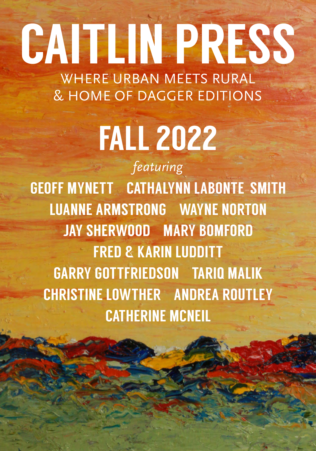# WHERE URBAN MEETS RURAL CAITLIN PRESS

& HOME OF DAGGER EDITIONS

# FALL 2022

*featuring* GEOFF MYNETT CATHALYNN LABONTE-SMITH LUANNE ARMSTRONG WAYNE NORTON JAY SHERWOOD MARY BOMFORD FRED & KARIN LUDDITT GARRY GOTTFRIEDSON TARIQ MALIK CHRISTINE LOWTHER ANDREA ROUTLEY CATHERINE MCNEIL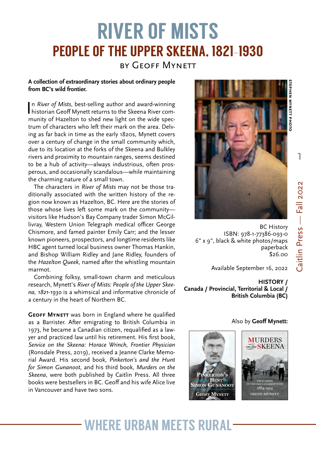## [RIVER OF MISTS](https://caitlin-press.com/our-books/river-of-mists/) PEOPLE OF THE UPPER SKEENA, 1821-1930

#### [by Geoff Mynett](https://caitlin-press.com/our-authors/mynett-geoff/)

#### **A collection of extraordinary stories about ordinary people from BC's wild frontier.**

In River of Mists, best-selling author and award-winning<br>historian Geoff Mynett returns to the Skeena River comn *River of Mists*, best-selling author and award-winning munity of Hazelton to shed new light on the wide spectrum of characters who left their mark on the area. Delving as far back in time as the early 1820s, Mynett covers over a century of change in the small community which, due to its location at the forks of the Skeena and Bulkley rivers and proximity to mountain ranges, seems destined to be a hub of activity—always industrious, often prosperous, and occasionally scandalous—while maintaining the charming nature of a small town.

The characters in *River of Mists* may not be those traditionally associated with the written history of the region now known as Hazelton, BC. Here are the stories of those whose lives left some mark on the community visitors like Hudson's Bay Company trader Simon McGillivray, Western Union Telegraph medical officer George Chismore, and famed painter Emily Carr; and the lesser known pioneers, prospectors, and longtime residents like HBC agent turned local business owner Thomas Hankin, and Bishop William Ridley and Jane Ridley, founders of the *Hazelton Queek*, named after the whistling mountain marmot.

Combining folksy, small-town charm and meticulous research, Mynett's *River of Mists: People of the Upper Skeena, 1821-1930* is a whimsical and informative chronicle of a century in the heart of Northern BC.

**GEOFF MYNETT** was born in England where he qualified as a Barrister. After emigrating to British Columbia in 1973, he became a Canadian citizen, requalified as a lawyer and practiced law until his retirement. His first book, *Service on the Skeena: Horace Wrinch, Frontier Physician* (Ronsdale Press, 2019), received a Jeanne Clarke Memorial Award. His second book, *Pinkerton's and the Hunt for Simon Gunanoot*, and his third book, *Murders on the Skeena*, were both published by Caitlin Press. All three books were bestsellers in BC. Geoff and his wife Alice live in Vancouver and have two sons.

WHERE URBAN MEETS RURAL



1

**stephen mynett photo**

Caitlin Press — Fall 2022

Caitlin Press — Fall 2022

ISBN: 978-1-77386-093-0 6" x 9", black & white photos/maps paperback \$26.00

Available September 16, 2022

**HISTORY / Canada / Provincial, Territorial & Local / British Columbia (BC)**



Also by **Geoff Mynett:**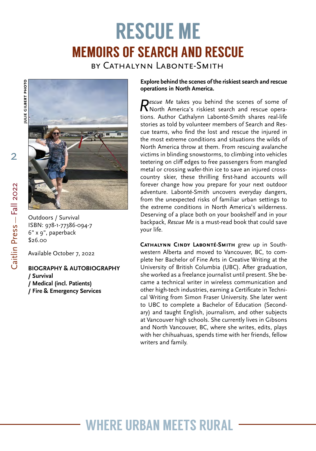# [RESCUE ME](https://caitlin-press.com/our-books/rescue-me/) MEMOIRS OF SEARCH AND RESCUE

[by Cathalynn Labonte-Smith](https://caitlin-press.com/our-authors/labonte-smith-cathalynn/)





Outdoors / Survival ISBN: 978-1-77386-094-7 6" x 9", paperback \$26.00

Available October 7, 2022

**BIOGRAPHY & AUTOBIOGRAPHY / Survival / Medical (incl. Patients) / Fire & Emergency Services**

**Explore behind the scenes of the riskiest search and rescue operations in North America.**

Rescue Me takes you behind the scenes of some of North America's riskiest search and rescue operations. Author Cathalynn Labonté-Smith shares real-life stories as told by volunteer members of Search and Rescue teams, who find the lost and rescue the injured in the most extreme conditions and situations the wilds of North America throw at them. From rescuing avalanche victims in blinding snowstorms, to climbing into vehicles teetering on cliff edges to free passengers from mangled metal or crossing wafer-thin ice to save an injured crosscountry skier, these thrilling first-hand accounts will forever change how you prepare for your next outdoor adventure. Labonté-Smith uncovers everyday dangers, from the unexpected risks of familiar urban settings to the extreme conditions in North America's wilderness. Deserving of a place both on your bookshelf and in your backpack, *Rescue Me* is a must-read book that could save your life.

**Cathalynn Cindy Labonté-Smith** grew up in Southwestern Alberta and moved to Vancouver, BC, to complete her Bachelor of Fine Arts in Creative Writing at the University of British Columbia (UBC). After graduation, she worked as a freelance journalist until present. She became a technical writer in wireless communication and other high-tech industries, earning a Certificate in Technical Writing from Simon Fraser University. She later went to UBC to complete a Bachelor of Education (Secondary) and taught English, journalism, and other subjects at Vancouver high schools. She currently lives in Gibsons and North Vancouver, BC, where she writes, edits, plays with her chihuahuas, spends time with her friends, fellow writers and family.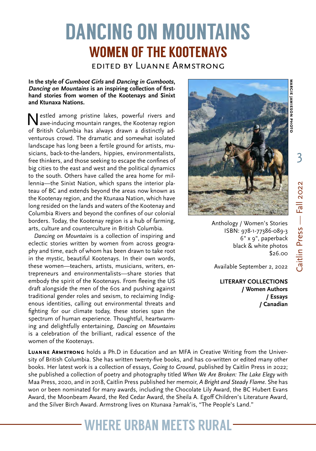# [DANCING ON MOUNTAINS](https://caitlin-press.com/our-books/dancing-on-mountains/) WOMEN OF THE KOOTENAYS

[edited by Luanne Armstrong](https://caitlin-press.com/our-authors/armstrong-luanne/)

**In the style of Gumboot Girls and Dancing in Gumboots, Dancing on Mountains is an inspiring collection of firsthand stories from women of the Kootenays and Sinixt and Ktunaxa Nations.**

Nestled among pristine lakes, powerful rivers and awe-inducing mountain ranges, the Kootenay region of British Columbia has always drawn a distinctly adventurous crowd. The dramatic and somewhat isolated landscape has long been a fertile ground for artists, musicians, back-to-the-landers, hippies, environmentalists, free thinkers, and those seeking to escape the confines of big cities to the east and west and the political dynamics to the south. Others have called the area home for millennia—the Sinixt Nation, which spans the interior plateau of BC and extends beyond the areas now known as the Kootenay region, and the Ktunaxa Nation, which have long resided on the lands and waters of the Kootenay and Columbia Rivers and beyond the confines of our colonial borders. Today, the Kootenay region is a hub of farming, arts, culture and counterculture in British Columbia.

*Dancing on Mountains* is a collection of inspiring and eclectic stories written by women from across geography and time, each of whom has been drawn to take root in the mystic, beautiful Kootenays. In their own words, these women—teachers, artists, musicians, writers, entrepreneurs and environmentalists—share stories that embody the spirit of the Kootenays. From fleeing the US draft alongside the men of the 60s and pushing against traditional gender roles and sexism, to reclaiming Indigenous identities, calling out environmental threats and fighting for our climate today, these stories span the spectrum of human experience. Thoughtful, heartwarming and delightfully entertaining, *Dancing on Mountains* is a celebration of the brilliant, radical essence of the women of the Kootenays.



Anthology / Women's Stories ISBN: 978-1-77386-089-3 6" x 9", paperback black & white photos \$26.00

Available September 2, 2022

**LITERARY COLLECTIONS / Women Authors / Essays / Canadian**

**Luanne Armstrong** holds a Ph.D in Education and an MFA in Creative Writing from the University of British Columbia. She has written twenty-five books, and has co-written or edited many other books. Her latest work is a collection of essays, *Going to Ground*, published by Caitlin Press in 2022; she published a collection of poetry and photography titled *When We Are Broken: The Lake Elegy* with Maa Press, 2020, and in 2018, Caitlin Press published her memoir, *A Bright and Steady Flame*. She has won or been nominated for many awards, including the Chocolate Lily Award, the BC Hubert Evans Award, the Moonbeam Award, the Red Cedar Award, the Sheila A. Egoff Children's Literature Award, and the Silver Birch Award. Armstrong lives on Ktunaxa ?amak'is, "The People's Land."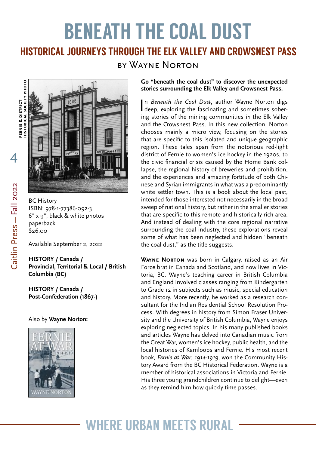### [BENEATH THE COAL DUST](https://caitlin-press.com/our-books/beneath-the-coal-dust/) HISTORICAL JOURNEYS THROUGH THE ELK VALLEY AND CROWSNEST PASS [by Wayne Norton](https://caitlin-press.com/our-authors/norton-wayne/)

**FERNIE & DISTRICT<br>HISTORICAL SOCIETY PHOTO fernie & district**



BC History ISBN: 978-1-77386-092-3 6" x 9", black & white photos paperback \$26.00

Available September 2, 2022

**HISTORY / Canada / Provincial, Territorial & Local / British Columbia (BC)** 

**HISTORY / Canada / Post-Confederation (1867-)**

#### Also by **Wayne Norton:**



#### **Go "beneath the coal dust" to discover the unexpected stories surrounding the Elk Valley and Crowsnest Pass.**

In Beneath the Coal Dust, author Wayne Norton digs<br>deep, exploring the fascinating and sometimes sobern *Beneath the Coal Dust*, author Wayne Norton digs ing stories of the mining communities in the Elk Valley and the Crowsnest Pass. In this new collection, Norton chooses mainly a micro view, focusing on the stories that are specific to this isolated and unique geographic region. These tales span from the notorious red-light district of Fernie to women's ice hockey in the 1920s, to the civic financial crisis caused by the Home Bank collapse, the regional history of breweries and prohibition, and the experiences and amazing fortitude of both Chinese and Syrian immigrants in what was a predominantly white settler town. This is a book about the local past, intended for those interested not necessarily in the broad sweep of national history, but rather in the smaller stories that are specific to this remote and historically rich area. And instead of dealing with the core regional narrative surrounding the coal industry, these explorations reveal some of what has been neglected and hidden "beneath the coal dust," as the title suggests.

**Wayne Norton** was born in Calgary, raised as an Air Force brat in Canada and Scotland, and now lives in Victoria, BC. Wayne's teaching career in British Columbia and England involved classes ranging from Kindergarten to Grade 12 in subjects such as music, special education and history. More recently, he worked as a research consultant for the Indian Residential School Resolution Process. With degrees in history from Simon Fraser University and the University of British Columbia, Wayne enjoys exploring neglected topics. In his many published books and articles Wayne has delved into Canadian music from the Great War, women's ice hockey, public health, and the local histories of Kamloops and Fernie. His most recent book, *Fernie at War: 1914-1919*, won the Community History Award from the BC Historical Federation. Wayne is a member of historical associations in Victoria and Fernie. His three young grandchildren continue to delight—even as they remind him how quickly time passes.

### WHERE URBAN MEETS RURAL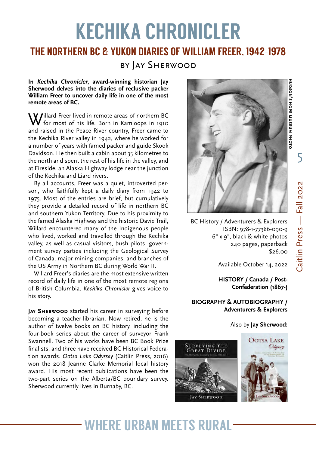# [KECHIKA CHRONICLER](https://caitlin-press.com/our-books/kechika-chronicler/)

#### THE NORTHERN BC & YUKON DIARIES OF WILLIAM FREER, 1942-1978

#### [by Jay Sherwood](https://caitlin-press.com/our-authors/sherwood-jay/)

**In Kechika Chronicler, award-winning historian Jay Sherwood delves into the diaries of reclusive packer William Freer to uncover daily life in one of the most remote areas of BC.**

Willard Freer lived in remote areas of northern BC<br>for most of his life. Born in Kamloops in 1910 and raised in the Peace River country, Freer came to the Kechika River valley in 1942, where he worked for a number of years with famed packer and guide Skook Davidson. He then built a cabin about 35 kilometres to the north and spent the rest of his life in the valley, and at Fireside, an Alaska Highway lodge near the junction of the Kechika and Liard rivers.

By all accounts, Freer was a quiet, introverted person, who faithfully kept a daily diary from 1942 to 1975. Most of the entries are brief, but cumulatively they provide a detailed record of life in northern BC and southern Yukon Territory. Due to his proximity to the famed Alaska Highway and the historic Davie Trail, Willard encountered many of the Indigenous people who lived, worked and travelled through the Kechika valley, as well as casual visitors, bush pilots, government survey parties including the Geological Survey of Canada, major mining companies, and branches of the US Army in Northern BC during World War II.

Willard Freer's diaries are the most extensive written record of daily life in one of the most remote regions of British Columbia. *Kechika Chronicler* gives voice to his story.

**Jay Sherwood** started his career in surveying before becoming a teacher-librarian. Now retired, he is the author of twelve books on BC history, including the four-book series about the career of surveyor Frank Swannell. Two of his works have been BC Book Prize finalists, and three have received BC Historical Federation awards. *Ootsa Lake Odyssey* (Caitlin Press, 2016) won the 2018 Jeanne Clarke Memorial local history award. His most recent publications have been the two-part series on the Alberta/BC boundary survey. Sherwood currently lives in Burnaby, BC.



BC History / Adventurers & Explorers ISBN: 978-1-77386-090-9 6" x 9", black & white photos 240 pages, paperback \$26.00

Available October 14, 2022

**HISTORY / Canada / Post-Confederation (1867-)**

#### **BIOGRAPHY & AUTOBIOGRAPHY / Adventurers & Explorers**

#### Also by **Jay Sherwood:**





### WHERE URBAN MEETS RURAL

HUDSON'S HOPE MUSEUM PHOTO **hudson's hope museum photo**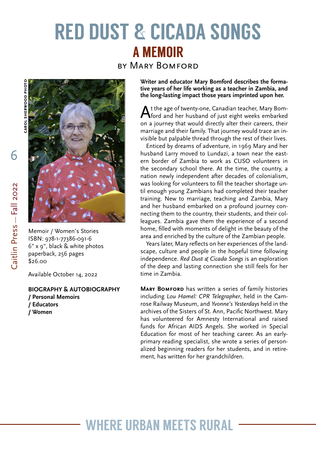# [RED DUST & CICADA SONGS](https://caitlin-press.com/our-books/red-dust-cicada-songs/) A MEMOIR

[by Mary Bomford](https://caitlin-press.com/our-authors/bomford-mary/)



6**carol sherwood photo**



Memoir / Women's Stories ISBN: 978-1-77386-091-6 6" x 9", black & white photos paperback, 256 pages \$26.00

Available October 14, 2022

**BIOGRAPHY & AUTOBIOGRAPHY / Personal Memoirs / Educators / Women**

**Writer and educator Mary Bomford describes the formative years of her life working as a teacher in Zambia, and the long-lasting impact those years imprinted upon her.**

At the age of twenty-one, Canadian teacher, Mary Bom-ford and her husband of just eight weeks embarked on a journey that would directly alter their careers, their marriage and their family. That journey would trace an invisible but palpable thread through the rest of their lives.

Enticed by dreams of adventure, in 1969 Mary and her husband Larry moved to Lundazi, a town near the eastern border of Zambia to work as CUSO volunteers in the secondary school there. At the time, the country, a nation newly independent after decades of colonialism, was looking for volunteers to fill the teacher shortage until enough young Zambians had completed their teacher training. New to marriage, teaching and Zambia, Mary and her husband embarked on a profound journey connecting them to the country, their students, and their colleagues. Zambia gave them the experience of a second home, filled with moments of delight in the beauty of the area and enriched by the culture of the Zambian people.

Years later, Mary reflects on her experiences of the landscape, culture and people in the hopeful time following independence. *Red Dust & Cicada Songs* is an exploration of the deep and lasting connection she still feels for her time in Zambia.

**Mary Bomford** has written a series of family histories including *Lou Hamel: CPR Telegrapher*, held in the Camrose Railway Museum, and *Yvonne's Yesterdays* held in the archives of the Sisters of St. Ann, Pacific Northwest. Mary has volunteered for Amnesty International and raised funds for African AIDS Angels. She worked in Special Education for most of her teaching career. As an earlyprimary reading specialist, she wrote a series of personalized beginning readers for her students, and in retirement, has written for her grandchildren.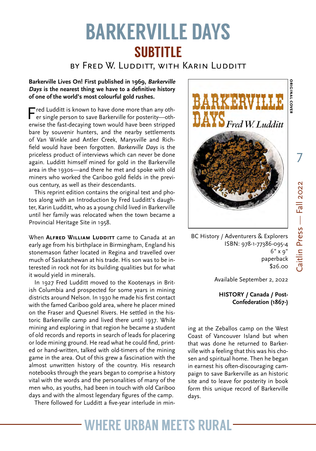# [BARKERVILLE DAYS](https://caitlin-press.com/our-books/barkerville-days/) **SUBTITLE**

BY FRED W. LUDDITT, WITH KARIN LUDDITT

#### **Barkerville Lives On! First published in 1969, Barkerville Days is the nearest thing we have to a definitive history of one of the world's most colourful gold rushes.**

Fred Ludditt is known to have done more than any other single person to save Barkerville for posterity—otherwise the fast-decaying town would have been stripped bare by souvenir hunters, and the nearby settlements of Van Winkle and Antler Creek, Marysville and Richfield would have been forgotten. *Barkerville Days* is the priceless product of interviews which can never be done again. Ludditt himself mined for gold in the Barkerville area in the 1930s—and there he met and spoke with old miners who worked the Cariboo gold fields in the previous century, as well as their descendants.

This reprint edition contains the original text and photos along with an Introduction by Fred Ludditt's daughter, Karin Ludditt, who as a young child lived in Barkerville until her family was relocated when the town became a Provincial Heritage Site in 1958.

When ALFRED WILLIAM LUDDITT came to Canada at an early age from his birthplace in Birmingham, England his stonemason father located in Regina and travelled over much of Saskatchewan at his trade. His son was to be interested in rock not for its building qualities but for what it would yield in minerals.

In 1927 Fred Ludditt moved to the Kootenays in British Columbia and prospected for some years in mining districts around Nelson. In 1930 he made his first contact with the famed Cariboo gold area, where he placer mined on the Fraser and Quesnel Rivers. He settled in the historic Barkerville camp and lived there until 1937. While mining and exploring in that region he became a student of old records and reports in search of leads for placering or lode mining ground. He read what he could find, printed or hand-written, talked with old-timers of the mining game in the area. Out of this grew a fascination with the almost unwritten history of the country. His research notebooks through the years began to comprise a history vital with the words and the personalities of many of the men who, as youths, had been in touch with old Cariboo days and with the almost legendary figures of the camp.

There followed for Ludditt a five-year interlude in min-



BC History / Adventurers & Explorers ISBN: 978-1-77386-095-4 6" x 9" paperback \$26.00

Available September 2, 2022

**HISTORY / Canada / Post-Confederation (1867-)**

ing at the Zeballos camp on the West Coast of Vancouver Island but when that was done he returned to Barkerville with a feeling that this was his chosen and spiritual home. Then he began in earnest his often-discouraging campaign to save Barkerville as an historic site and to leave for posterity in book form this unique record of Barkerville days.

7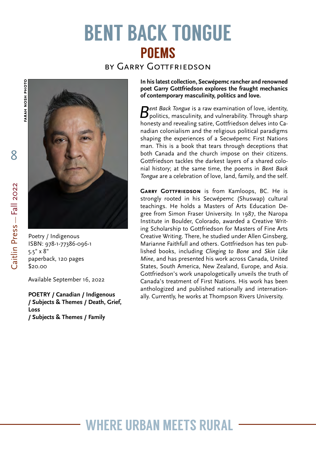# [BENT BACK TONGUE](https://caitlin-press.com/our-books/bent-back-tongue/) POEMS

[by Garry Gottfriedson](https://caitlin-press.com/our-authors/gottfriedson-garry/)



Poetry / Indigenous ISBN: 978-1-77386-096-1 5.5" x 8" paperback, 120 pages \$20.00

Available September 16, 2022

**POETRY / Canadian / Indigenous / Subjects & Themes / Death, Grief, Loss / Subjects & Themes / Family**

**In his latest collection, Secwépemc rancher and renowned poet Garry Gottfriedson explores the fraught mechanics of contemporary masculinity, politics and love.**

Bent Back Tongue is a raw examination of love, identity, politics, masculinity, and vulnerability. Through sharp honesty and revealing satire, Gottfriedson delves into Canadian colonialism and the religious political paradigms shaping the experiences of a Secwépemc First Nations man. This is a book that tears through deceptions that both Canada and the church impose on their citizens. Gottfriedson tackles the darkest layers of a shared colonial history; at the same time, the poems in *Bent Back Tongue* are a celebration of love, land, family, and the self.

**Garry Gottfriedson** is from Kamloops, BC. He is strongly rooted in his Secwépemc (Shuswap) cultural teachings. He holds a Masters of Arts Education Degree from Simon Fraser University. In 1987, the Naropa Institute in Boulder, Colorado, awarded a Creative Writing Scholarship to Gottfriedson for Masters of Fine Arts Creative Writing. There, he studied under Allen Ginsberg, Marianne Faithfull and others. Gottfriedson has ten published books, including *Clinging to Bone* and *Skin Like Mine*, and has presented his work across Canada, United States, South America, New Zealand, Europe, and Asia. Gottfriedson's work unapologetically unveils the truth of Canada's treatment of First Nations. His work has been anthologized and published nationally and internationally. Currently, he works at Thompson Rivers University.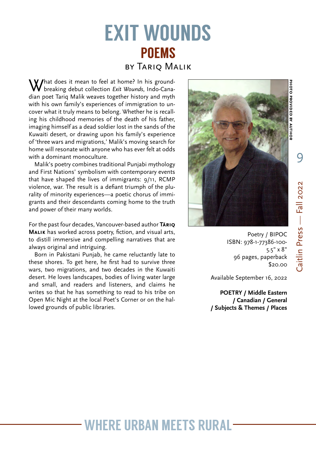### [EXIT WOUNDS](https://caitlin-press.com/our-books/exit-wounds/) POEMS [by Tariq Malik](https://caitlin-press.com/our-authors/malik-tariq/)

 $\bf W$ hat does it mean to feel at home? In his groundbreaking debut collection *Exit Wounds*, Indo-Canadian poet Tariq Malik weaves together history and myth with his own family's experiences of immigration to uncover what it truly means to belong. Whether he is recalling his childhood memories of the death of his father, imaging himself as a dead soldier lost in the sands of the Kuwaiti desert, or drawing upon his family's experience of 'three wars and migrations,' Malik's moving search for home will resonate with anyone who has ever felt at odds with a dominant monoculture.

Malik's poetry combines traditional Punjabi mythology and First Nations' symbolism with contemporary events that have shaped the lives of immigrants: 9/11, RCMP violence, war. The result is a defiant triumph of the plurality of minority experiences—a poetic chorus of immigrants and their descendants coming home to the truth and power of their many worlds.

For the past four decades, Vancouver-based author **Tāriq Malik** has worked across poetry, fiction, and visual arts, to distill immersive and compelling narratives that are always original and intriguing.

Born in Pakistani Punjab, he came reluctantly late to these shores. To get here, he first had to survive three wars, two migrations, and two decades in the Kuwaiti desert. He loves landscapes, bodies of living water large and small, and readers and listeners, and claims he writes so that he has something to read to his tribe on Open Mic Night at the local Poet's Corner or on the hallowed grounds of public libraries.



Poetry / BIPOC ISBN: 978-1-77386-100- 5.5" x 8" 96 pages, paperback \$20.00

Available September 16, 2022

**POETRY / Middle Eastern / Canadian / General / Subjects & Themes / Places** 9

PHOTO PROVIDED BY AUTHOR **photo provided by author**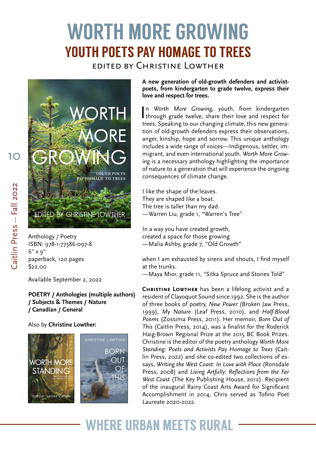# [WORTH MORE GROWING](https://caitlin-press.com/our-books/worth-more-growing/) YOUTH POETS PAY HOMAGE TO TREES

[edited by Christine Lowther](https://caitlin-press.com/our-authors/lowther-christine/)



Anthology / Poetry ISBN: 978-1-77386-097-8 6" x 9" paperback, 120 pages \$22.00

Available September 2, 2022

**POETRY / Anthologies (multiple authors) / Subjects & Themes / Nature / Canadian / General**

Also by **Christine Lowther:**



**A new generation of old-growth defenders and activistpoets, from kindergarten to grade twelve, express their love and respect for trees.**

In Worth More Growing, youth, from kindergarten<br>through grade twelve, share their love and respect for n *Worth More Growing*, youth, from kindergarten trees. Speaking to our changing climate, this new generation of old-growth defenders express their observations, anger, kinship, hope and sorrow. This unique anthology includes a wide range of voices—Indigenous, settler, immigrant, and even international youth. *Worth More Growing* is a necessary anthology highlighting the importance of nature to a generation that will experience the ongoing consequences of climate change.

I like the shape of the leaves. They are shaped like a boat. The tree is taller than my dad. —Warren Liu, grade 1, "Warren's Tree"

In a way you have created growth, created a space for those growing. —Malia Ashby, grade 7, "Old Growth"

when I am exhausted by sirens and shouts, I find myself at the trunks.

—Maya Mior, grade 11, "Sitka Spruce and Stories Told"

**Christine Lowther** has been a lifelong activist and a resident of Clayoquot Sound since 1992. She is the author of three books of poetry, *New Power* (Broken Jaw Press, 1999), *My Nature* (Leaf Press, 2010), and *Half-Blood Poems* (Zossima Press, 2011). Her memoir, *Born Out of This* (Caitlin Press, 2014), was a finalist for the Roderick Haig-Brown Regional Prize at the 2015 BC Book Prizes. Christine is the editor of the poetry anthology *Worth More Standing: Poets and Activists Pay Homage to Trees* (Caitlin Press, 2022) and she co-edited two collections of essays, *Writing the West Coast: In Love with Place* (Ronsdale Press, 2008) and *Living Artfully: Reflections from the Far West Coast* (The Key Publishing House, 2012). Recipient of the inaugural Rainy Coast Arts Award for Significant Accomplishment in 2014, Chris served as Tofino Poet Laureate 2020-2022.

### WHERE URBAN MEETS RURAL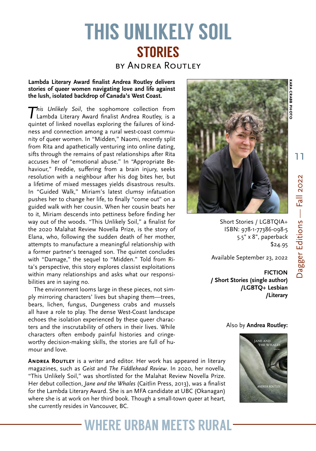### [THIS UNLIKELY SOIL](https://caitlin-press.com/our-books/this-unlikely-soil/) **STORIES** [by Andrea Routley](https://caitlin-press.com/our-authors/routley-andrea/)

#### **Lambda Literary Award finalist Andrea Routley delivers stories of queer women navigating love and life against the lush, isolated backdrop of Canada's West Coast.**

*This Unlikely Soil*, the sophomore collection from Lambda Literary Award finalist Andrea Routley, is a quintet of linked novellas exploring the failures of kindness and connection among a rural west-coast community of queer women. In "Midden," Naomi, recently split from Rita and apathetically venturing into online dating, sifts through the remains of past relationships after Rita accuses her of "emotional abuse." In "Appropriate Behaviour," Freddie, suffering from a brain injury, seeks resolution with a neighbour after his dog bites her, but a lifetime of mixed messages yields disastrous results. In "Guided Walk," Miriam's latest clumsy infatuation pushes her to change her life, to finally "come out" on a guided walk with her cousin. When her cousin beats her to it, Miriam descends into pettiness before finding her way out of the woods. "This Unlikely Soil," a finalist for the 2020 Malahat Review Novella Prize, is the story of Elana, who, following the sudden death of her mother, attempts to manufacture a meaningful relationship with a former partner's teenaged son. The quintet concludes with "Damage," the sequel to "Midden." Told from Rita's perspective, this story explores classist exploitations within many relationships and asks what our responsibilities are in saying no.

The environment looms large in these pieces, not simply mirroring characters' lives but shaping them—trees, bears, lichen, fungus, Dungeness crabs and mussels all have a role to play. The dense West-Coast landscape echoes the isolation experienced by these queer characters and the inscrutability of others in their lives. While characters often embody painful histories and cringeworthy decision-making skills, the stories are full of humour and love.

ANDREA ROUTLEY is a writer and editor. Her work has appeared in literary magazines, such as *Geist* and *The Fiddlehead Review*. In 2020, her novella, "This Unlikely Soil," was shortlisted for the Malahat Review Novella Prize. Her debut collection, *Jane and the Whales* (Caitlin Press, 2013), was a finalist for the Lambda Literary Award. She is an MFA candidate at UBC (Okanagan) where she is at work on her third book. Though a small-town queer at heart, she currently resides in Vancouver, BC.



Short Stories / LGBTQIA+ ISBN: 978-1-77386-098-5 5.5" x 8", paperback \$24.95

Available September 23, 2022

**FICTION / Short Stories (single author) /LGBTQ+ Lesbian /Literary**

#### Also by **Andrea Routley:**



# **KARA CRABB PHOTC kara crabb photo**

11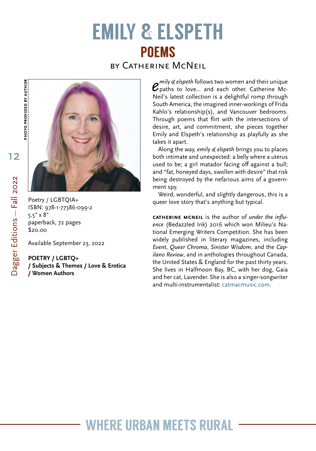# [EMILY & ELSPETH](https://caitlin-press.com/our-books/emily-elspeth/) POEMS

[by Catherine McNeil](https://caitlin-press.com/our-authors/mcneil-catherine/)

WHERE URBAN MEETS RURAL



Poetry / LGBTQIA+ ISBN: 978-1-77386-099-2 5.5" x 8" paperback, 72 pages \$20.00

Available September 23, 2022

**POETRY / LGBTQ+ / Subjects & Themes / Love & Erotica / Women Authors**

*e* mily *& elspeth* follows two women and their unique<br> *e* paths to love... and each other. Catherine Mcpaths to love… and each other. Catherine Mc-Neil's latest collection is a delightful romp through South America, the imagined inner-workings of Frida Kahlo's relationship(s), and Vancouver bedrooms. Through poems that flirt with the intersections of desire, art, and commitment, she pieces together Emily and Elspeth's relationship as playfully as she takes it apart.

Along the way, *emily & elspeth* brings you to places both intimate and unexpected: a belly where a uterus used to be; a girl matador facing off against a bull; and "fat, honeyed days, swollen with desire" that risk being destroyed by the nefarious aims of a government spy.

Weird, wonderful, and slightly dangerous, this is a queer love story that's anything but typical.

**catherine mcneil** is the author of *under the influence* (Bedazzled Ink) 2016 which won Milieu's National Emerging Writers Competition. She has been widely published in literary magazines, including *Event*, *Queer Chroma*, *Sinister Wisdom*, and the *Capilano Review*, and in anthologies throughout Canada, the United States & England for the past thirty years. She lives in Halfmoon Bay, BC, with her dog, Gaia and her cat, Lavender. She is also a singer-songwriter and multi-instrumentalist: [catmacmusic.com](http://catmacmusic.com).